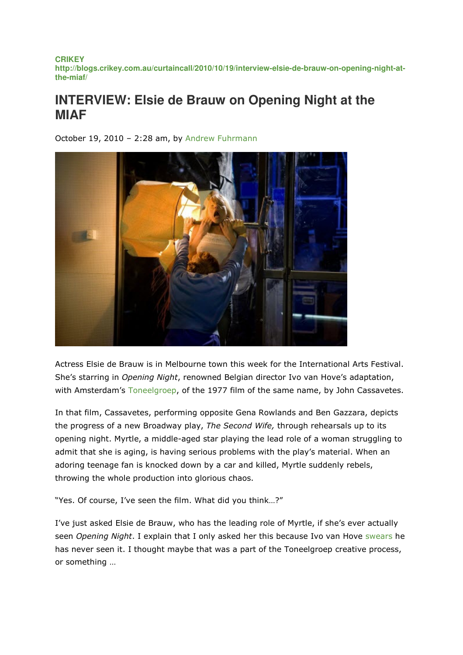**CRIKEY http://blogs.crikey.com.au/curtaincall/2010/10/19/interview-elsie-de-brauw-on-opening-night-atthe-miaf/**

## **INTERVIEW: Elsie de Brauw on Opening Night at the MIAF**

October 19, 2010 – 2:28 am, by Andrew Fuhrmann



Actress Elsie de Brauw is in Melbourne town this week for the International Arts Festival. She's starring in Opening Night, renowned Belgian director Ivo van Hove's adaptation, with Amsterdam's Toneelgroep, of the 1977 film of the same name, by John Cassavetes.

In that film, Cassavetes, performing opposite Gena Rowlands and Ben Gazzara, depicts the progress of a new Broadway play, The Second Wife, through rehearsals up to its opening night. Myrtle, a middle-aged star playing the lead role of a woman struggling to admit that she is aging, is having serious problems with the play's material. When an adoring teenage fan is knocked down by a car and killed, Myrtle suddenly rebels, throwing the whole production into glorious chaos.

"Yes. Of course, I've seen the film. What did you think…?"

I've just asked Elsie de Brauw, who has the leading role of Myrtle, if she's ever actually seen Opening Night. I explain that I only asked her this because Ivo van Hove swears he has never seen it. I thought maybe that was a part of the Toneelgroep creative process, or something …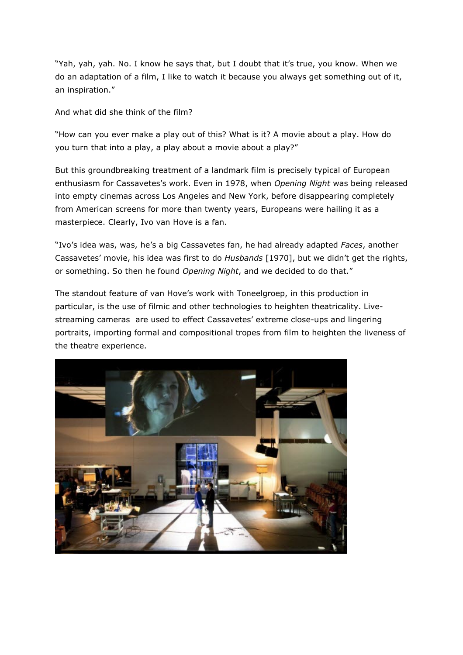"Yah, yah, yah. No. I know he says that, but I doubt that it's true, you know. When we do an adaptation of a film, I like to watch it because you always get something out of it, an inspiration."

And what did she think of the film?

"How can you ever make a play out of this? What is it? A movie about a play. How do you turn that into a play, a play about a movie about a play?"

But this groundbreaking treatment of a landmark film is precisely typical of European enthusiasm for Cassavetes's work. Even in 1978, when Opening Night was being released into empty cinemas across Los Angeles and New York, before disappearing completely from American screens for more than twenty years, Europeans were hailing it as a masterpiece. Clearly, Ivo van Hove is a fan.

"Ivo's idea was, was, he's a big Cassavetes fan, he had already adapted Faces, another Cassavetes' movie, his idea was first to do *Husbands* [1970], but we didn't get the rights, or something. So then he found Opening Night, and we decided to do that."

The standout feature of van Hove's work with Toneelgroep, in this production in particular, is the use of filmic and other technologies to heighten theatricality. Livestreaming cameras are used to effect Cassavetes' extreme close-ups and lingering portraits, importing formal and compositional tropes from film to heighten the liveness of the theatre experience.